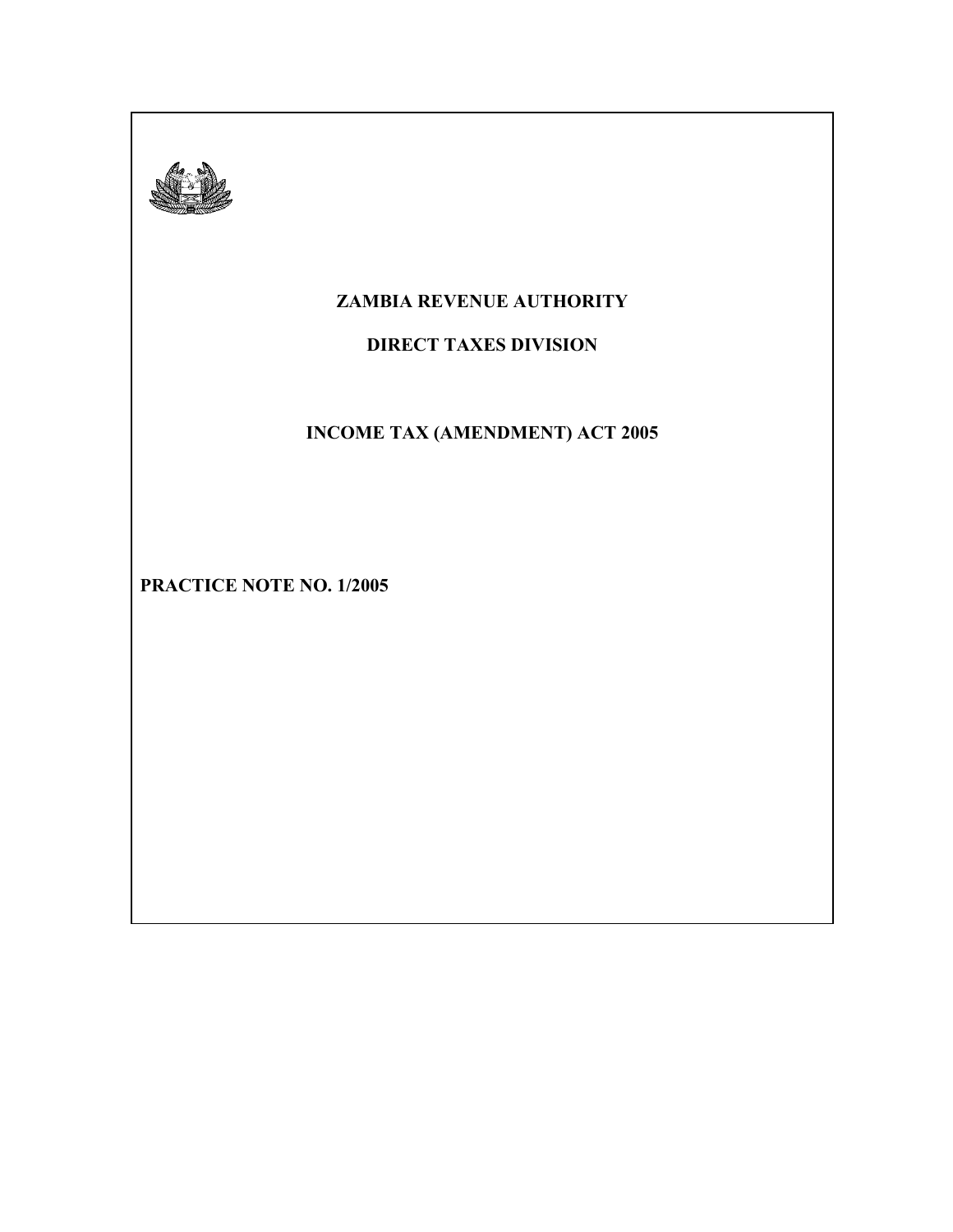

## **ZAMBIA REVENUE AUTHORITY**

## **DIRECT TAXES DIVISION**

# **INCOME TAX (AMENDMENT) ACT 2005**

**PRACTICE NOTE NO. 1/2005**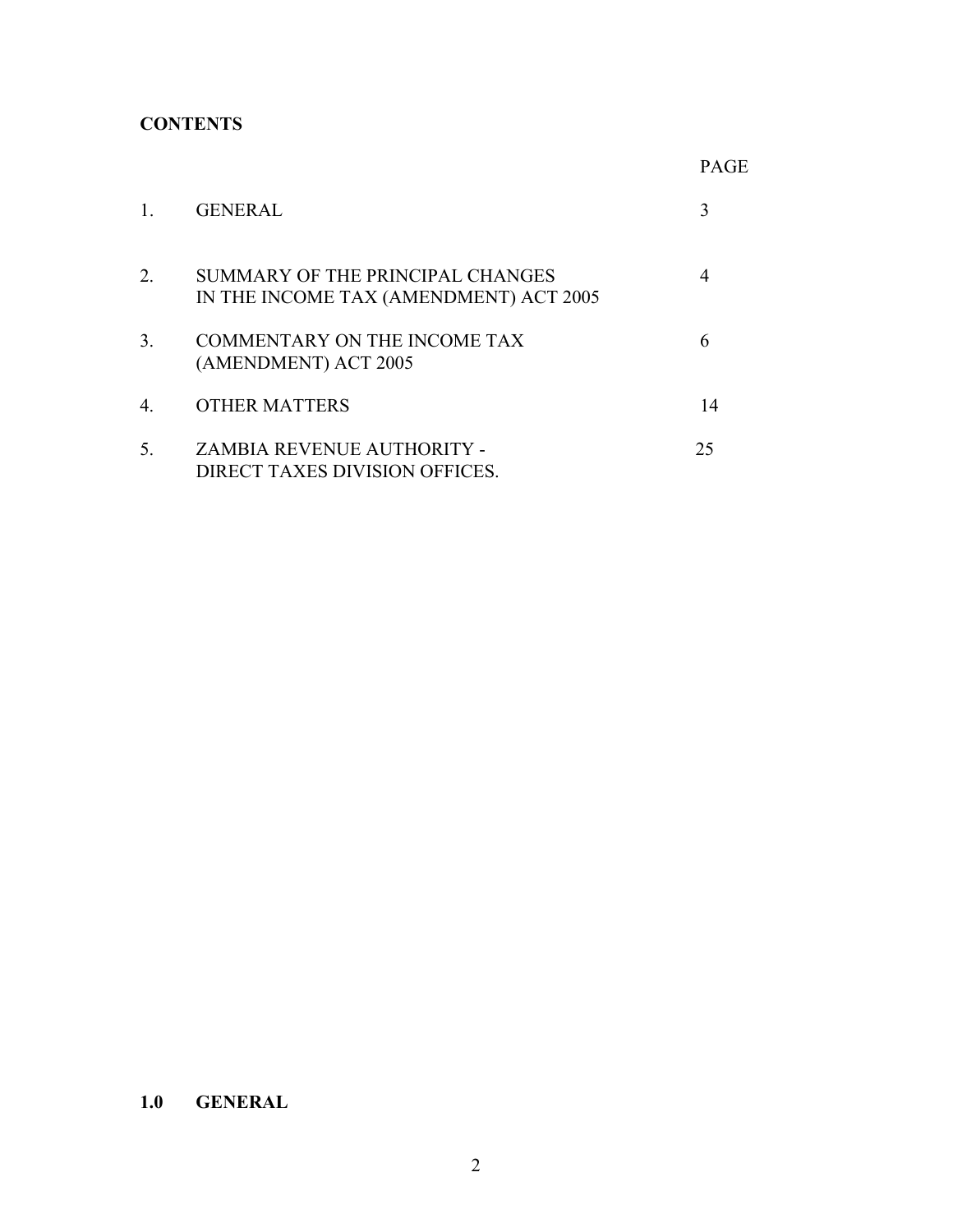## **CONTENTS**

|                |                                                                            | <b>PAGE</b> |
|----------------|----------------------------------------------------------------------------|-------------|
| 1              | <b>GENERAL</b>                                                             | 3           |
| 2.             | SUMMARY OF THE PRINCIPAL CHANGES<br>IN THE INCOME TAX (AMENDMENT) ACT 2005 | 4           |
| 3 <sub>1</sub> | <b>COMMENTARY ON THE INCOME TAX</b><br>(AMENDMENT) ACT 2005                | 6           |
| $\overline{4}$ | <b>OTHER MATTERS</b>                                                       | 14          |
| 5.             | <b>ZAMBIA REVENUE AUTHORITY -</b><br>DIRECT TAXES DIVISION OFFICES.        | 25          |

## **1.0 GENERAL**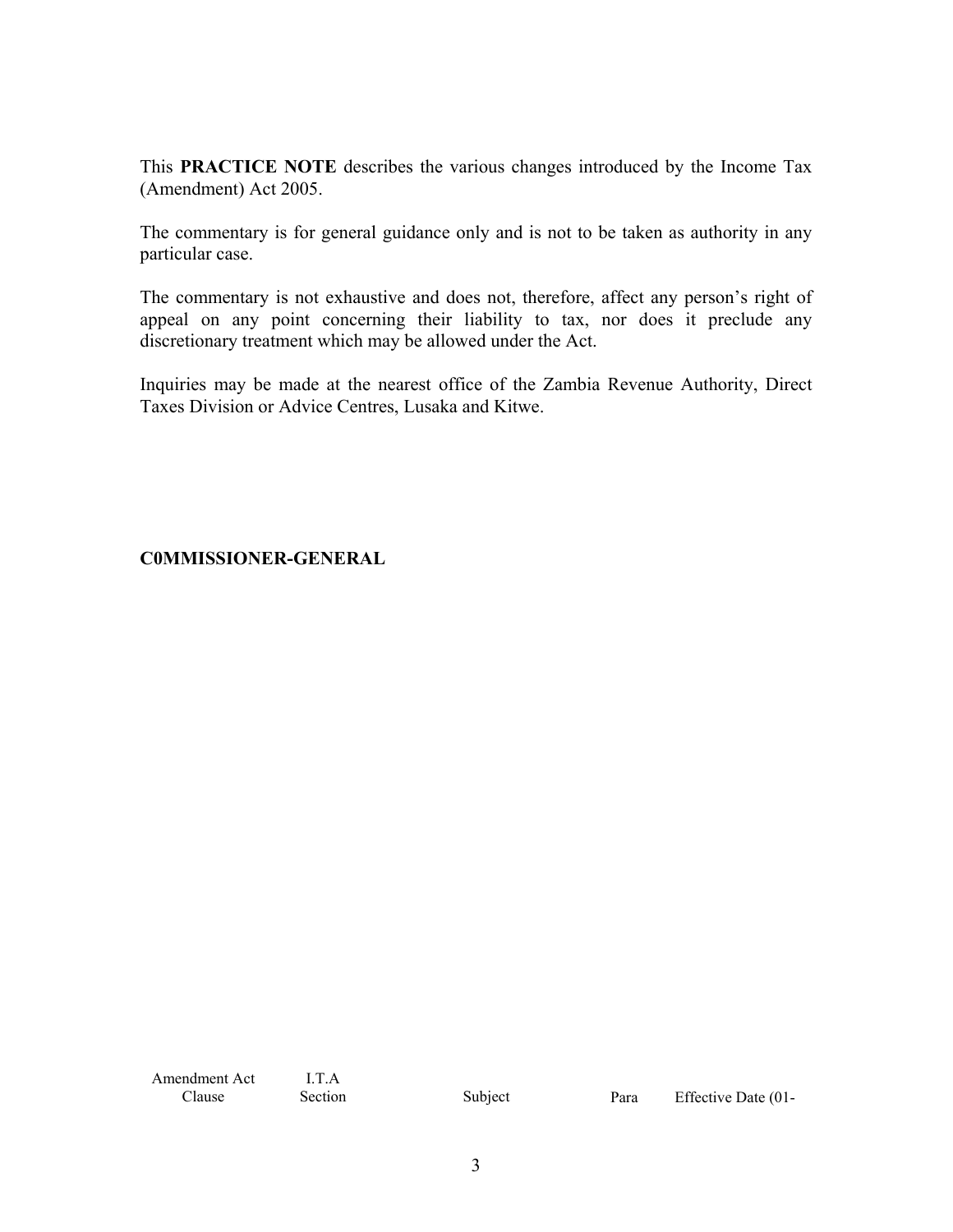This **PRACTICE NOTE** describes the various changes introduced by the Income Tax (Amendment) Act 2005.

The commentary is for general guidance only and is not to be taken as authority in any particular case.

The commentary is not exhaustive and does not, therefore, affect any person's right of appeal on any point concerning their liability to tax, nor does it preclude any discretionary treatment which may be allowed under the Act.

Inquiries may be made at the nearest office of the Zambia Revenue Authority, Direct Taxes Division or Advice Centres, Lusaka and Kitwe.

## **C0MMISSIONER-GENERAL**

Amendment Act Clause

I.T.A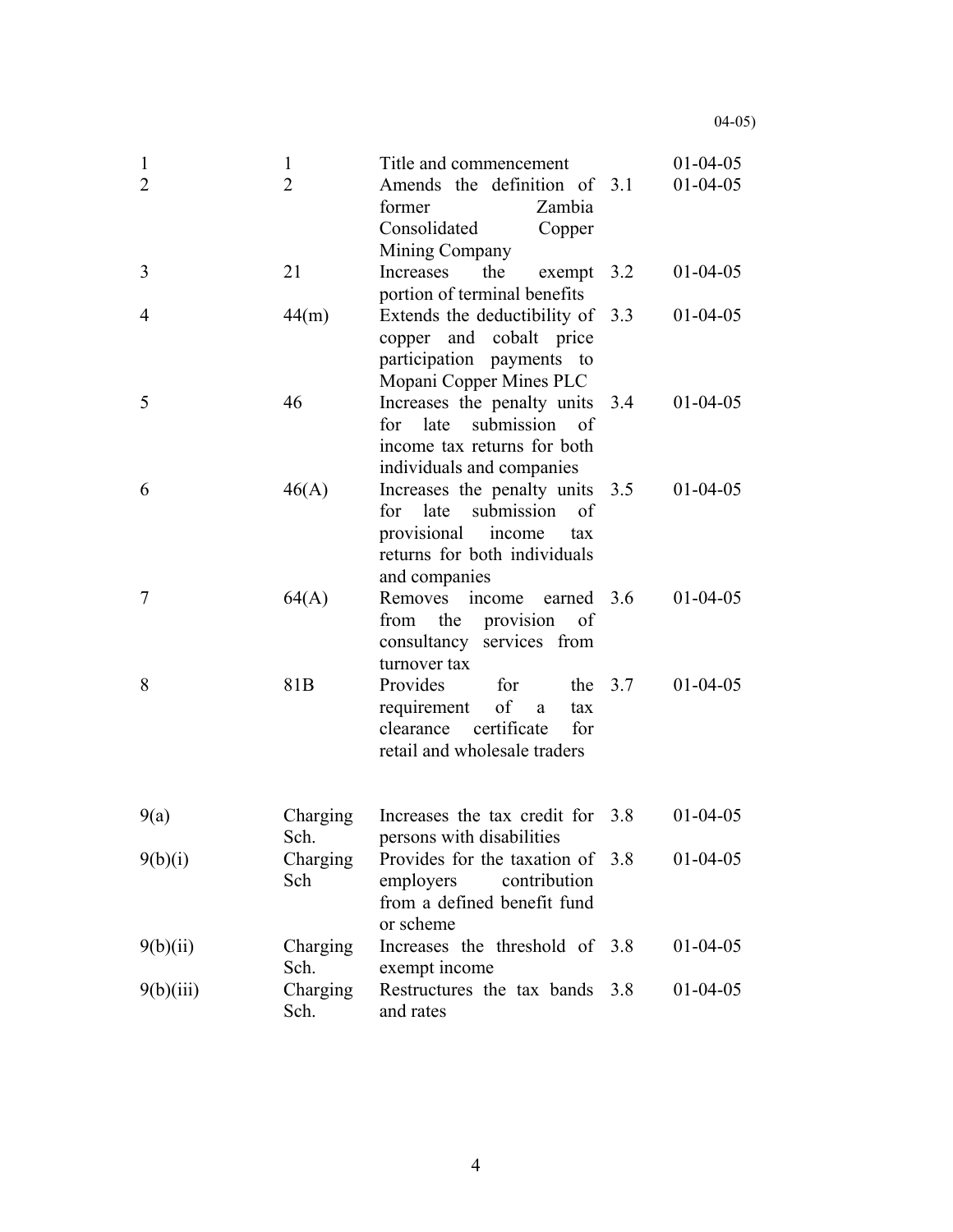| $\mathbf{1}$<br>2 | 1<br>$\overline{2}$ | Title and commencement<br>Amends the definition of 3.1<br>Zambia<br>former<br>Consolidated<br>Copper<br>Mining Company                           |     | $01 - 04 - 05$<br>$01 - 04 - 05$ |
|-------------------|---------------------|--------------------------------------------------------------------------------------------------------------------------------------------------|-----|----------------------------------|
| 3                 | 21                  | Increases<br>the<br>exempt $3.2$<br>portion of terminal benefits                                                                                 |     | $01 - 04 - 05$                   |
| 4                 | 44(m)               | Extends the deductibility of 3.3<br>copper and cobalt price<br>participation payments to<br>Mopani Copper Mines PLC                              |     | $01 - 04 - 05$                   |
| 5                 | 46                  | Increases the penalty units 3.4<br>for late<br>submission of<br>income tax returns for both<br>individuals and companies                         |     | $01 - 04 - 05$                   |
| 6                 | 46(A)               | Increases the penalty units 3.5<br>submission<br>for late<br>of<br>provisional<br>income<br>tax<br>returns for both individuals<br>and companies |     | $01 - 04 - 05$                   |
| 7                 | 64(A)               | income<br>earned 3.6<br>Removes<br>the provision<br>from<br>of<br>consultancy services from<br>turnover tax                                      |     | $01 - 04 - 05$                   |
| 8                 | 81 <sub>B</sub>     | Provides<br>the $3.7$<br>for<br>of<br>requirement<br>$\mathbf{a}$<br>tax<br>certificate<br>clearance<br>for<br>retail and wholesale traders      |     | $01 - 04 - 05$                   |
| 9(a)              | Charging<br>Sch.    | Increases the tax credit for 3.8<br>persons with disabilities                                                                                    |     | $01-04-05$                       |
| 9(b)(i)           | Charging<br>Sch     | Provides for the taxation of 3.8<br>contribution<br>employers<br>from a defined benefit fund<br>or scheme                                        |     | $01 - 04 - 05$                   |
| 9(b)(ii)          | Charging<br>Sch.    | Increases the threshold of 3.8<br>exempt income                                                                                                  |     | $01-04-05$                       |
| 9(b)(iii)         | Charging<br>Sch.    | Restructures the tax bands<br>and rates                                                                                                          | 3.8 | $01-04-05$                       |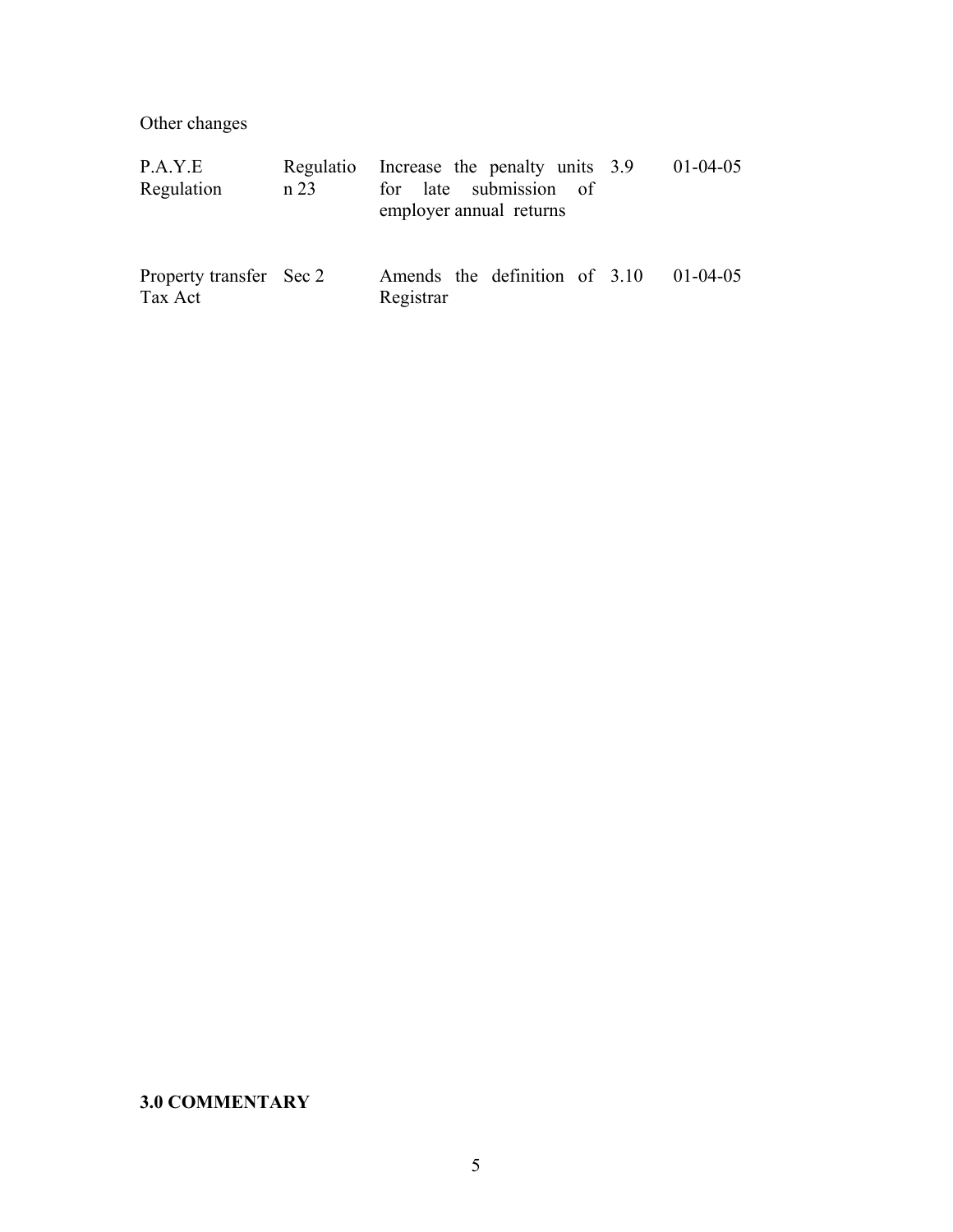Other changes

| P.A.Y.E<br>Regulation              | Regulatio<br>n 23 | Increase the penalty units 3.9<br>$01-04-05$<br>for late submission of<br>employer annual returns |  |
|------------------------------------|-------------------|---------------------------------------------------------------------------------------------------|--|
| Property transfer Sec 2<br>Tax Act |                   | Amends the definition of 3.10<br>$01 - 04 - 05$<br>Registrar                                      |  |

## **3.0 COMMENTARY**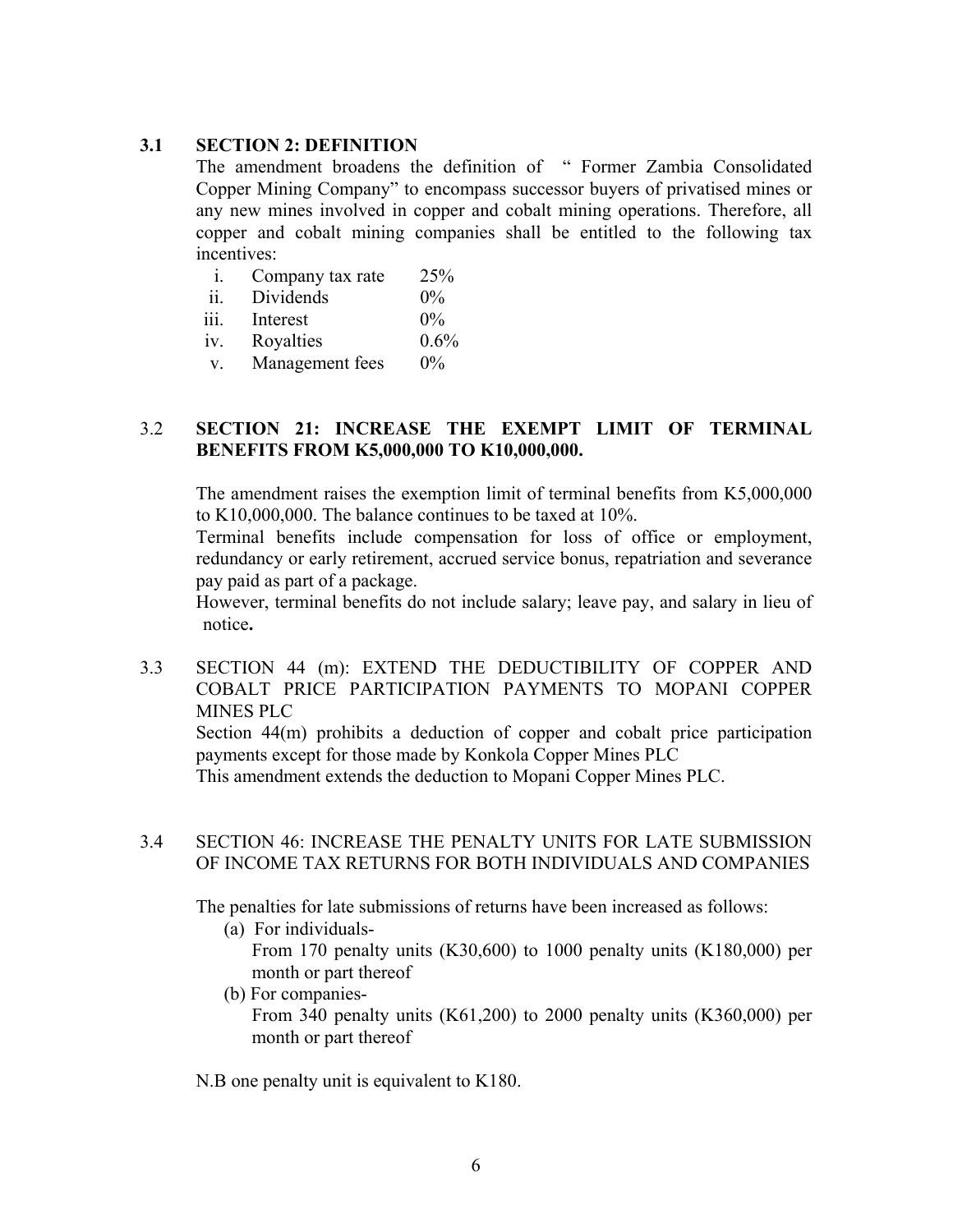#### **3.1 SECTION 2: DEFINITION**

The amendment broadens the definition of " Former Zambia Consolidated Copper Mining Company" to encompass successor buyers of privatised mines or any new mines involved in copper and cobalt mining operations. Therefore, all copper and cobalt mining companies shall be entitled to the following tax incentives:

| $\overline{1}$ . | Company tax rate | 25%                  |
|------------------|------------------|----------------------|
| ii               | Dividends        | $0\%$                |
| 111.             | Interest         | $0\%$                |
|                  | n.               | $\sim$ $\sim$ $\sim$ |

iv. Royalties 0.6%

v. Management fees 0%

## 3.2 **SECTION 21: INCREASE THE EXEMPT LIMIT OF TERMINAL BENEFITS FROM K5,000,000 TO K10,000,000.**

The amendment raises the exemption limit of terminal benefits from K5,000,000 to K10,000,000. The balance continues to be taxed at 10%.

Terminal benefits include compensation for loss of office or employment, redundancy or early retirement, accrued service bonus, repatriation and severance pay paid as part of a package.

However, terminal benefits do not include salary; leave pay, and salary in lieu of notice**.** 

3.3 SECTION 44 (m): EXTEND THE DEDUCTIBILITY OF COPPER AND COBALT PRICE PARTICIPATION PAYMENTS TO MOPANI COPPER MINES PLC

Section 44(m) prohibits a deduction of copper and cobalt price participation payments except for those made by Konkola Copper Mines PLC

This amendment extends the deduction to Mopani Copper Mines PLC.

#### 3.4 SECTION 46: INCREASE THE PENALTY UNITS FOR LATE SUBMISSION OF INCOME TAX RETURNS FOR BOTH INDIVIDUALS AND COMPANIES

The penalties for late submissions of returns have been increased as follows:

(a) For individuals-

From 170 penalty units (K30,600) to 1000 penalty units (K180,000) per month or part thereof

(b) For companies-

From 340 penalty units (K61,200) to 2000 penalty units (K360,000) per month or part thereof

N.B one penalty unit is equivalent to K180.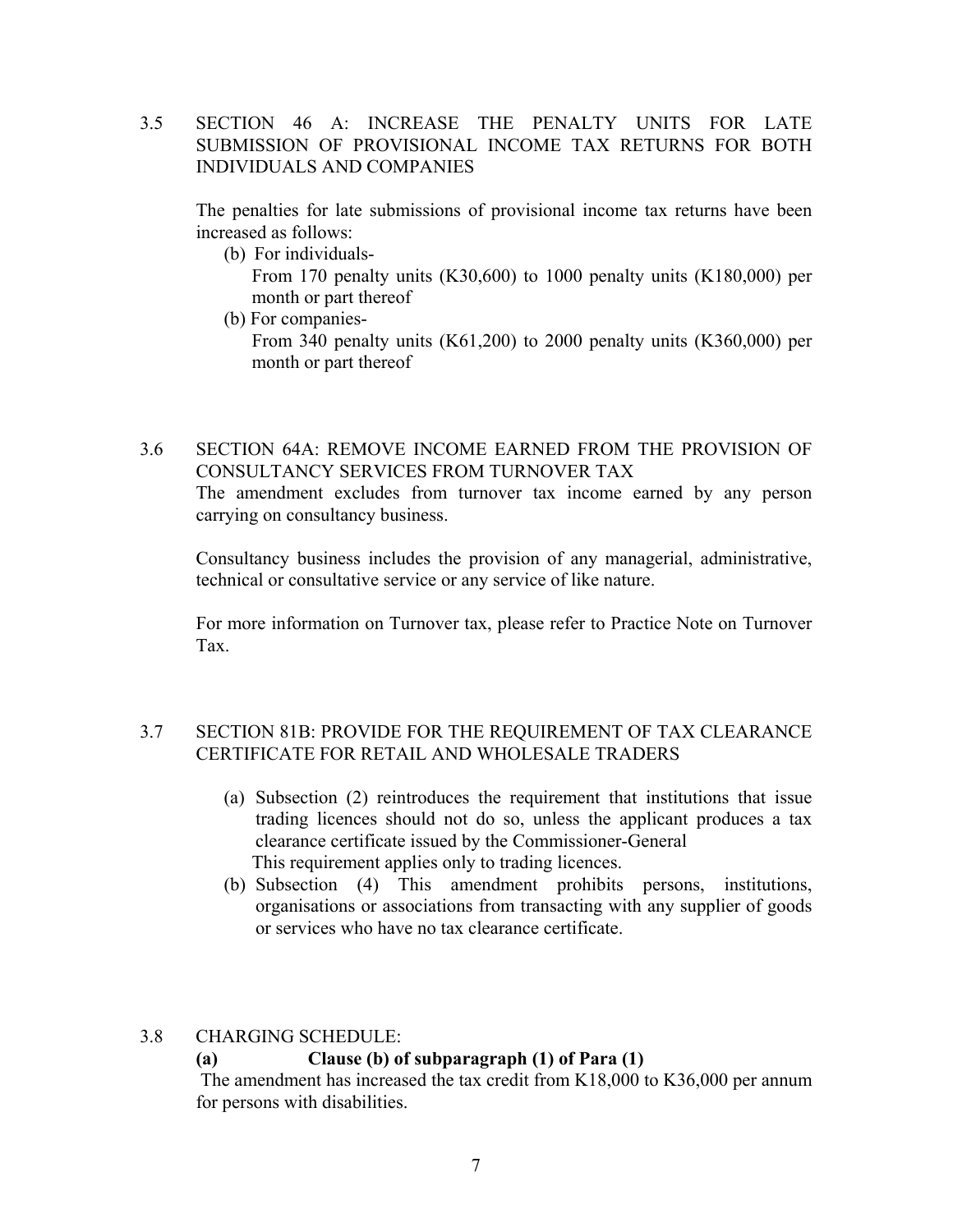3.5 SECTION 46 A: INCREASE THE PENALTY UNITS FOR LATE SUBMISSION OF PROVISIONAL INCOME TAX RETURNS FOR BOTH INDIVIDUALS AND COMPANIES

The penalties for late submissions of provisional income tax returns have been increased as follows:

- (b) For individuals-From 170 penalty units (K30,600) to 1000 penalty units (K180,000) per month or part thereof
- (b) For companies-From 340 penalty units (K61,200) to 2000 penalty units (K360,000) per month or part thereof

### 3.6 SECTION 64A: REMOVE INCOME EARNED FROM THE PROVISION OF CONSULTANCY SERVICES FROM TURNOVER TAX

The amendment excludes from turnover tax income earned by any person carrying on consultancy business.

Consultancy business includes the provision of any managerial, administrative, technical or consultative service or any service of like nature.

For more information on Turnover tax, please refer to Practice Note on Turnover Tax.

## 3.7 SECTION 81B: PROVIDE FOR THE REQUIREMENT OF TAX CLEARANCE CERTIFICATE FOR RETAIL AND WHOLESALE TRADERS

- (a) Subsection (2) reintroduces the requirement that institutions that issue trading licences should not do so, unless the applicant produces a tax clearance certificate issued by the Commissioner-General This requirement applies only to trading licences.
- (b) Subsection (4) This amendment prohibits persons, institutions, organisations or associations from transacting with any supplier of goods or services who have no tax clearance certificate.

## 3.8 CHARGING SCHEDULE:

## **(a) Clause (b) of subparagraph (1) of Para (1)**

The amendment has increased the tax credit from K18,000 to K36,000 per annum for persons with disabilities.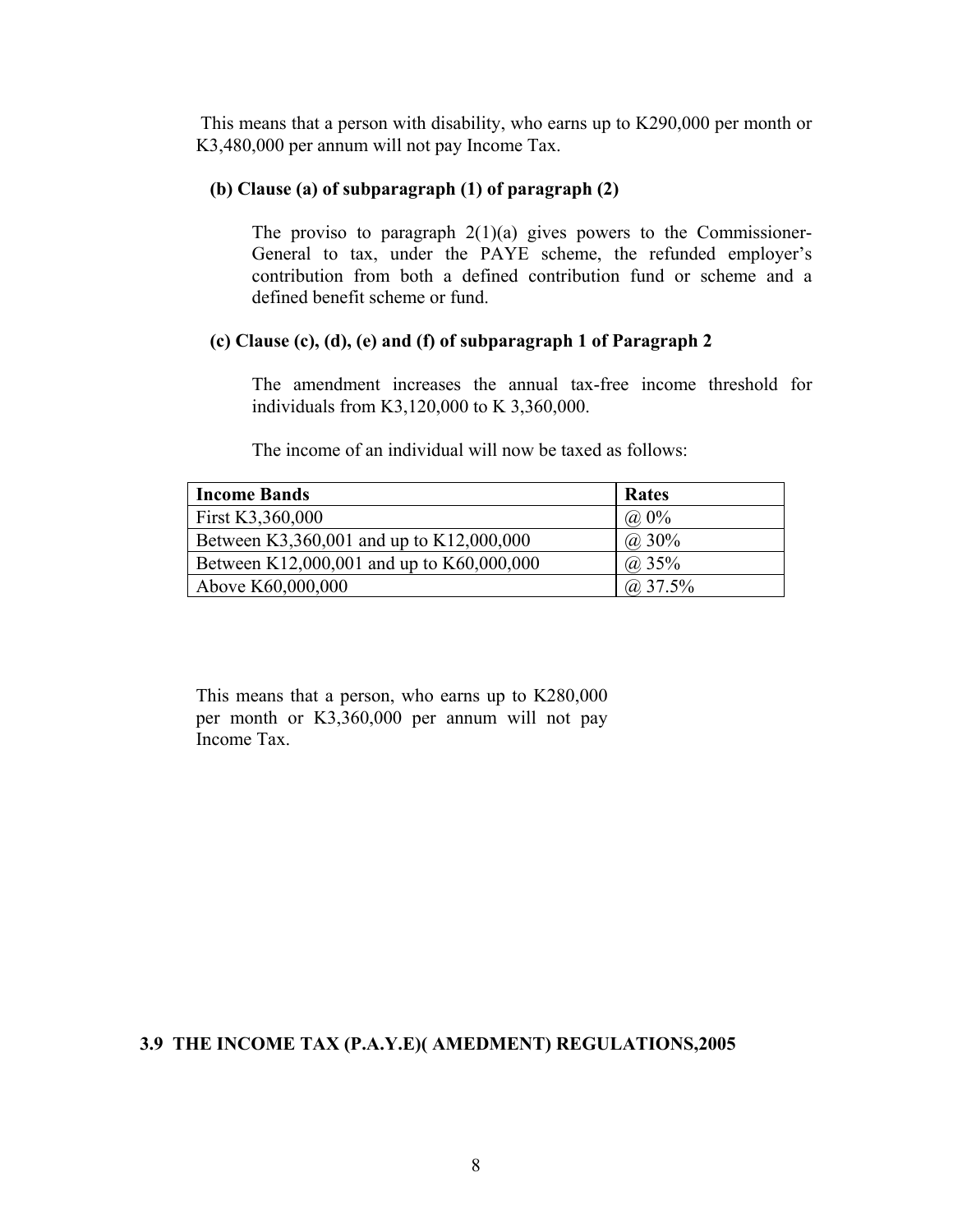This means that a person with disability, who earns up to K290,000 per month or K3,480,000 per annum will not pay Income Tax.

## **(b) Clause (a) of subparagraph (1) of paragraph (2)**

The proviso to paragraph  $2(1)(a)$  gives powers to the Commissioner-General to tax, under the PAYE scheme, the refunded employer's contribution from both a defined contribution fund or scheme and a defined benefit scheme or fund.

#### **(c) Clause (c), (d), (e) and (f) of subparagraph 1 of Paragraph 2**

The amendment increases the annual tax-free income threshold for individuals from K3,120,000 to K 3,360,000.

The income of an individual will now be taxed as follows:

| <b>Income Bands</b>                       | Rates              |
|-------------------------------------------|--------------------|
| First K3,360,000                          | $(a) 0\%$          |
| Between K3,360,001 and up to K12,000,000  | $(a)$ 30%          |
| Between K12,000,001 and up to K60,000,000 | ( <i>a</i> ) $35%$ |
| Above K60,000,000                         | $(a)$ 37.5%        |

This means that a person, who earns up to K280,000 per month or K3,360,000 per annum will not pay Income Tax.

#### **3.9 THE INCOME TAX (P.A.Y.E)( AMEDMENT) REGULATIONS,2005**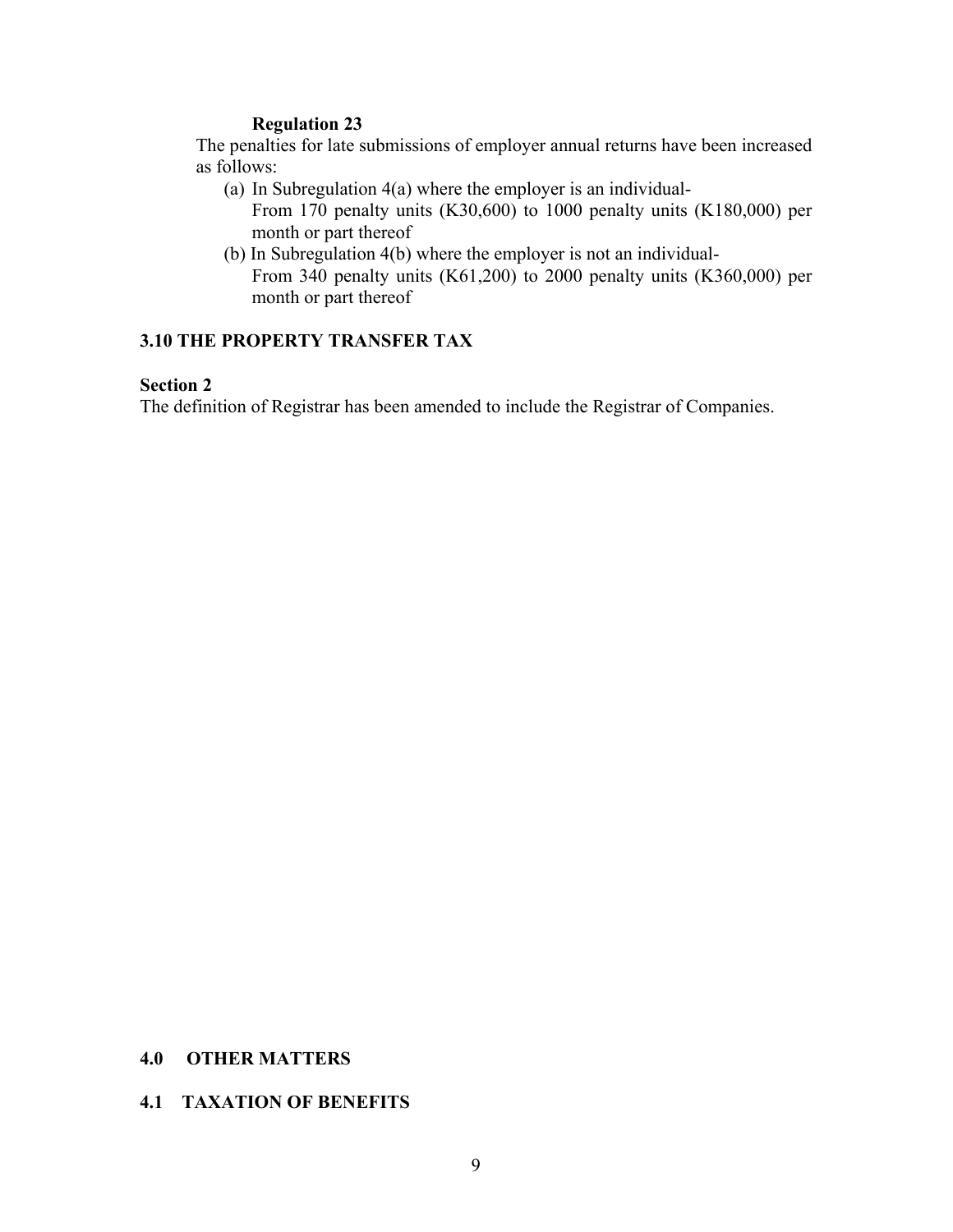#### **Regulation 23**

The penalties for late submissions of employer annual returns have been increased as follows:

(a) In Subregulation 4(a) where the employer is an individual-

From 170 penalty units (K30,600) to 1000 penalty units (K180,000) per month or part thereof

(b) In Subregulation 4(b) where the employer is not an individual-From 340 penalty units (K61,200) to 2000 penalty units (K360,000) per month or part thereof

#### **3.10 THE PROPERTY TRANSFER TAX**

## **Section 2**

The definition of Registrar has been amended to include the Registrar of Companies.

#### **4.0 OTHER MATTERS**

#### **4.1 TAXATION OF BENEFITS**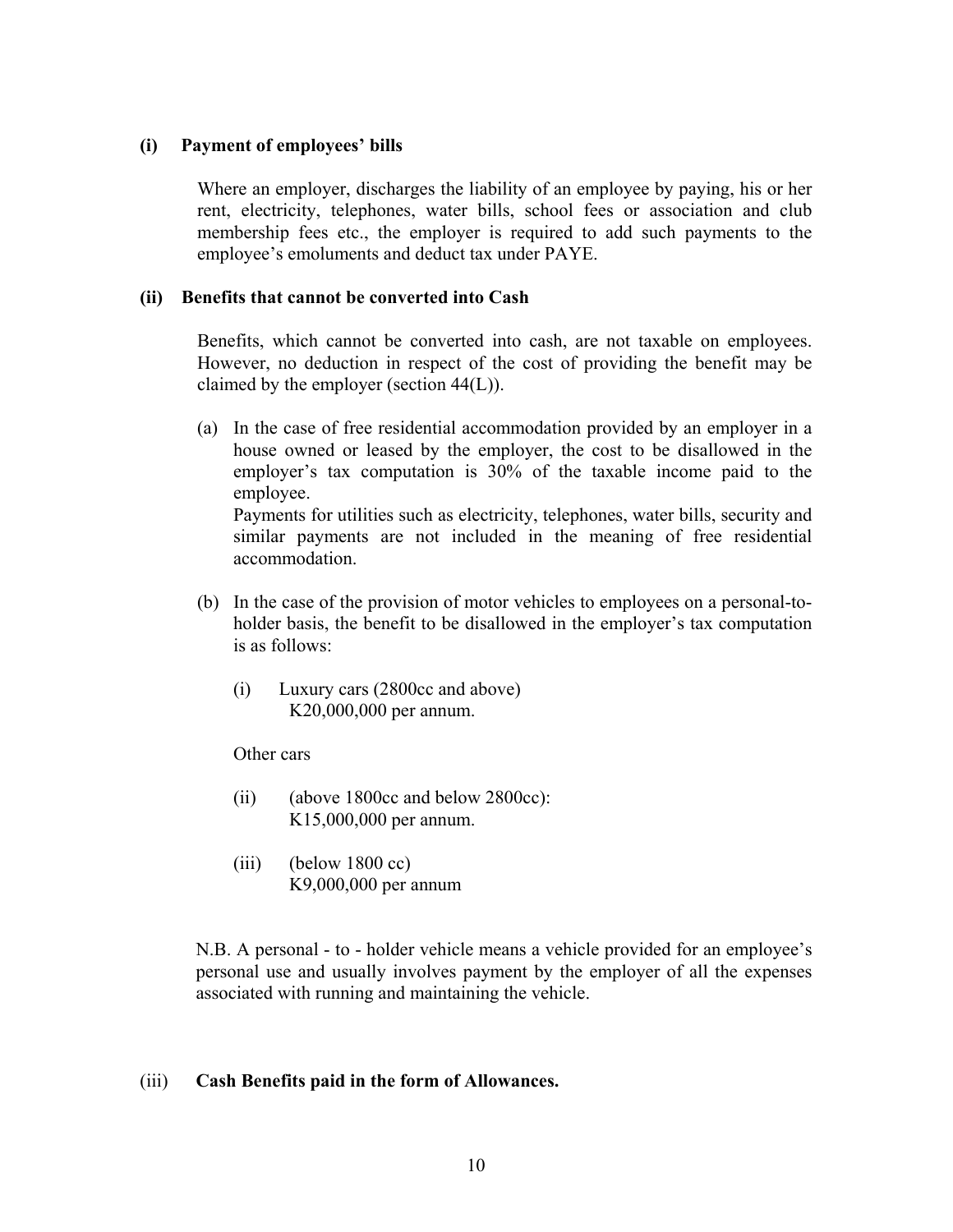#### **(i) Payment of employees' bills**

Where an employer, discharges the liability of an employee by paying, his or her rent, electricity, telephones, water bills, school fees or association and club membership fees etc., the employer is required to add such payments to the employee's emoluments and deduct tax under PAYE.

#### **(ii) Benefits that cannot be converted into Cash**

Benefits, which cannot be converted into cash, are not taxable on employees. However, no deduction in respect of the cost of providing the benefit may be claimed by the employer (section 44(L)).

(a) In the case of free residential accommodation provided by an employer in a house owned or leased by the employer, the cost to be disallowed in the employer's tax computation is 30% of the taxable income paid to the employee.

Payments for utilities such as electricity, telephones, water bills, security and similar payments are not included in the meaning of free residential accommodation.

- (b) In the case of the provision of motor vehicles to employees on a personal-toholder basis, the benefit to be disallowed in the employer's tax computation is as follows:
	- (i) Luxury cars (2800cc and above) K20,000,000 per annum.

Other cars

- (ii) (above 1800cc and below 2800cc): K15,000,000 per annum.
- $(iii)$  (below 1800 cc) K9,000,000 per annum

N.B. A personal - to - holder vehicle means a vehicle provided for an employee's personal use and usually involves payment by the employer of all the expenses associated with running and maintaining the vehicle.

#### (iii) **Cash Benefits paid in the form of Allowances.**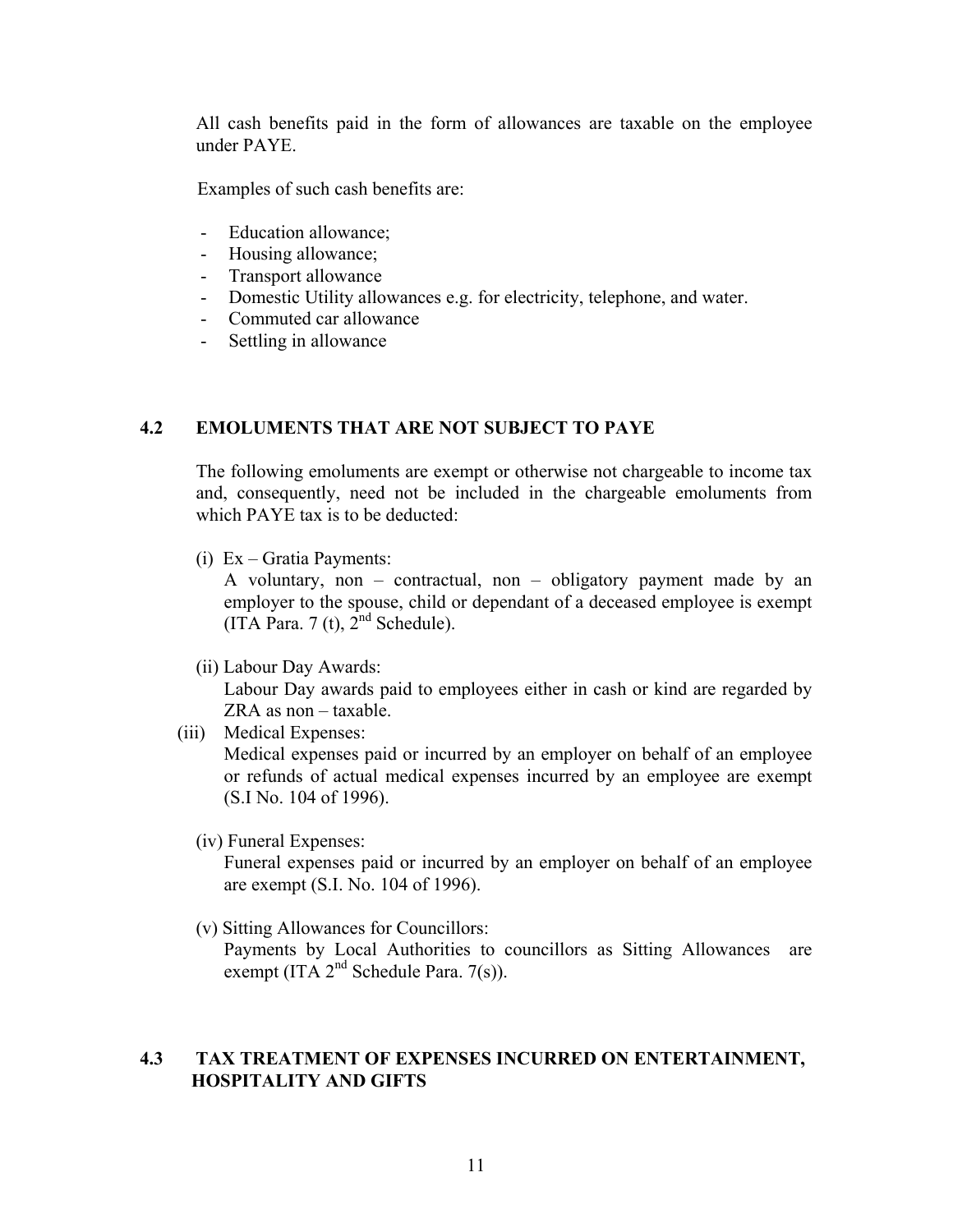All cash benefits paid in the form of allowances are taxable on the employee under PAYE.

Examples of such cash benefits are:

- Education allowance;
- Housing allowance;
- Transport allowance
- Domestic Utility allowances e.g. for electricity, telephone, and water.
- Commuted car allowance
- Settling in allowance

## **4.2 EMOLUMENTS THAT ARE NOT SUBJECT TO PAYE**

The following emoluments are exempt or otherwise not chargeable to income tax and, consequently, need not be included in the chargeable emoluments from which PAYE tax is to be deducted:

(i) Ex – Gratia Payments:

A voluntary, non – contractual, non – obligatory payment made by an employer to the spouse, child or dependant of a deceased employee is exempt (ITA Para. 7 (t),  $2<sup>nd</sup>$  Schedule).

(ii) Labour Day Awards:

Labour Day awards paid to employees either in cash or kind are regarded by ZRA as non – taxable.

- (iii) Medical Expenses: Medical expenses paid or incurred by an employer on behalf of an employee or refunds of actual medical expenses incurred by an employee are exempt (S.I No. 104 of 1996).
	- (iv) Funeral Expenses:

Funeral expenses paid or incurred by an employer on behalf of an employee are exempt (S.I. No. 104 of 1996).

(v) Sitting Allowances for Councillors:

Payments by Local Authorities to councillors as Sitting Allowances are exempt (ITA  $2<sup>nd</sup>$  Schedule Para. 7(s)).

#### **4.3 TAX TREATMENT OF EXPENSES INCURRED ON ENTERTAINMENT, HOSPITALITY AND GIFTS**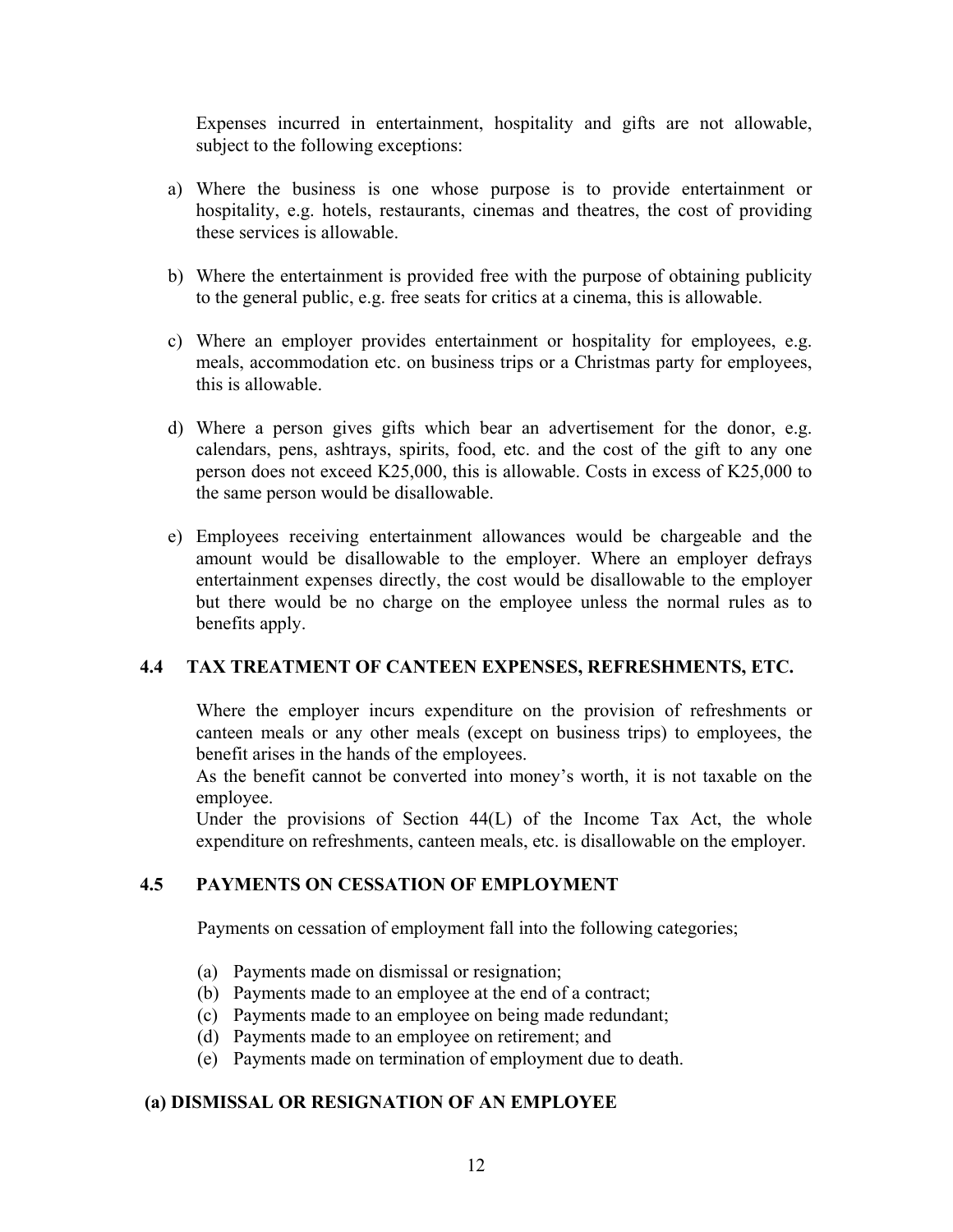Expenses incurred in entertainment, hospitality and gifts are not allowable, subject to the following exceptions:

- a) Where the business is one whose purpose is to provide entertainment or hospitality, e.g. hotels, restaurants, cinemas and theatres, the cost of providing these services is allowable.
- b) Where the entertainment is provided free with the purpose of obtaining publicity to the general public, e.g. free seats for critics at a cinema, this is allowable.
- c) Where an employer provides entertainment or hospitality for employees, e.g. meals, accommodation etc. on business trips or a Christmas party for employees, this is allowable.
- d) Where a person gives gifts which bear an advertisement for the donor, e.g. calendars, pens, ashtrays, spirits, food, etc. and the cost of the gift to any one person does not exceed K25,000, this is allowable. Costs in excess of K25,000 to the same person would be disallowable.
- e) Employees receiving entertainment allowances would be chargeable and the amount would be disallowable to the employer. Where an employer defrays entertainment expenses directly, the cost would be disallowable to the employer but there would be no charge on the employee unless the normal rules as to benefits apply.

## **4.4 TAX TREATMENT OF CANTEEN EXPENSES, REFRESHMENTS, ETC.**

Where the employer incurs expenditure on the provision of refreshments or canteen meals or any other meals (except on business trips) to employees, the benefit arises in the hands of the employees.

As the benefit cannot be converted into money's worth, it is not taxable on the employee.

Under the provisions of Section 44(L) of the Income Tax Act, the whole expenditure on refreshments, canteen meals, etc. is disallowable on the employer.

## **4.5 PAYMENTS ON CESSATION OF EMPLOYMENT**

Payments on cessation of employment fall into the following categories;

- (a) Payments made on dismissal or resignation;
- (b) Payments made to an employee at the end of a contract;
- (c) Payments made to an employee on being made redundant;
- (d) Payments made to an employee on retirement; and
- (e) Payments made on termination of employment due to death.

## **(a) DISMISSAL OR RESIGNATION OF AN EMPLOYEE**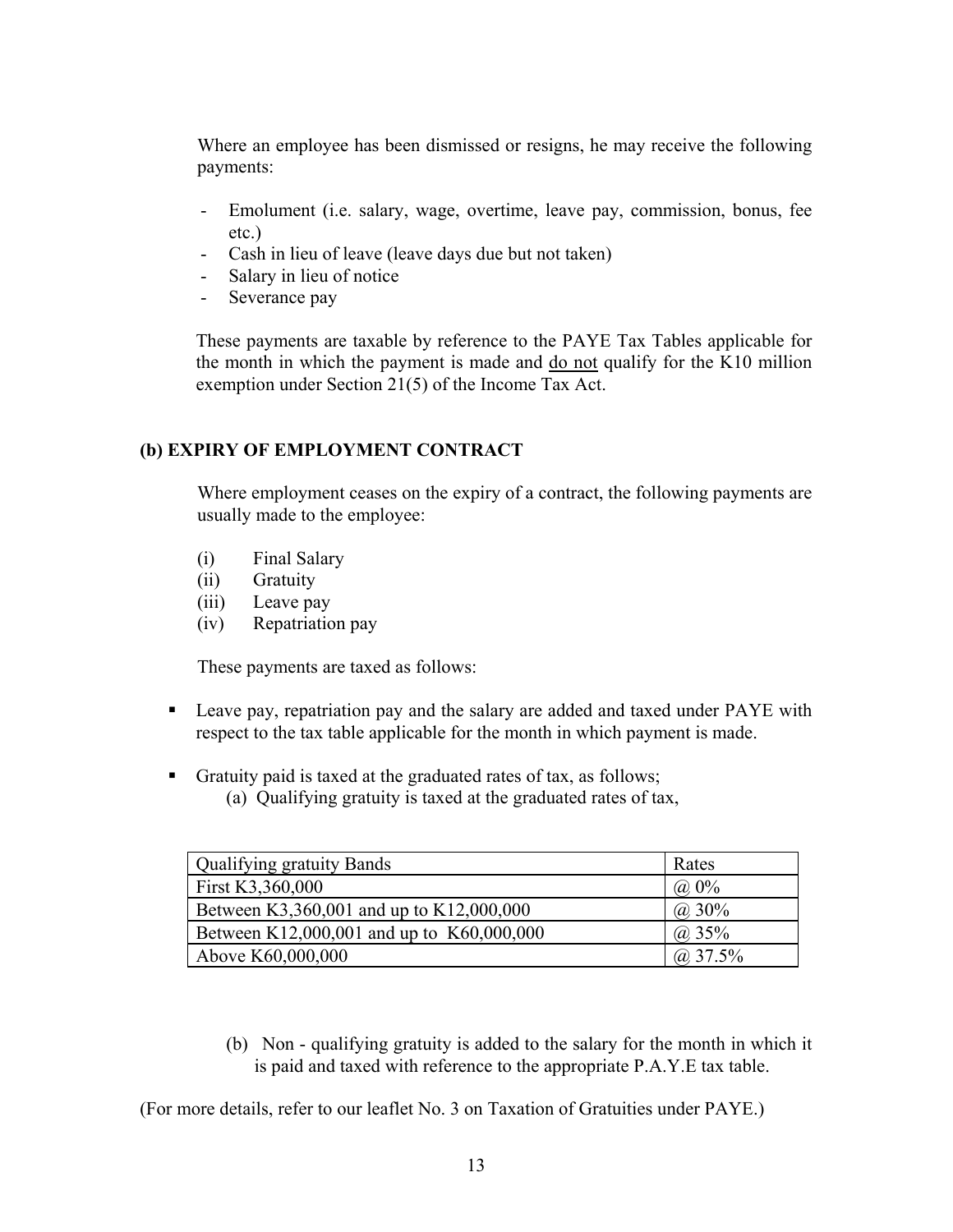Where an employee has been dismissed or resigns, he may receive the following payments:

- Emolument (i.e. salary, wage, overtime, leave pay, commission, bonus, fee etc.)
- Cash in lieu of leave (leave days due but not taken)
- Salary in lieu of notice
- Severance pay

These payments are taxable by reference to the PAYE Tax Tables applicable for the month in which the payment is made and  $\frac{d}{d}$  not qualify for the K10 million exemption under Section 21(5) of the Income Tax Act.

## **(b) EXPIRY OF EMPLOYMENT CONTRACT**

Where employment ceases on the expiry of a contract, the following payments are usually made to the employee:

- (i) Final Salary
- (ii) Gratuity
- (iii) Leave pay
- (iv) Repatriation pay

These payments are taxed as follows:

- **Leave pay, repatriation pay and the salary are added and taxed under PAYE with** respect to the tax table applicable for the month in which payment is made.
- Gratuity paid is taxed at the graduated rates of tax, as follows;
	- (a) Qualifying gratuity is taxed at the graduated rates of tax,

| <b>Qualifying gratuity Bands</b>          | Rates       |
|-------------------------------------------|-------------|
| First K3,360,000                          | $(a) 0\%$   |
| Between K3,360,001 and up to K12,000,000  | $(a)$ 30%   |
| Between K12,000,001 and up to K60,000,000 | (a) 35%     |
| Above K60,000,000                         | $(a)$ 37.5% |

(b) Non - qualifying gratuity is added to the salary for the month in which it is paid and taxed with reference to the appropriate P.A.Y.E tax table.

(For more details, refer to our leaflet No. 3 on Taxation of Gratuities under PAYE.)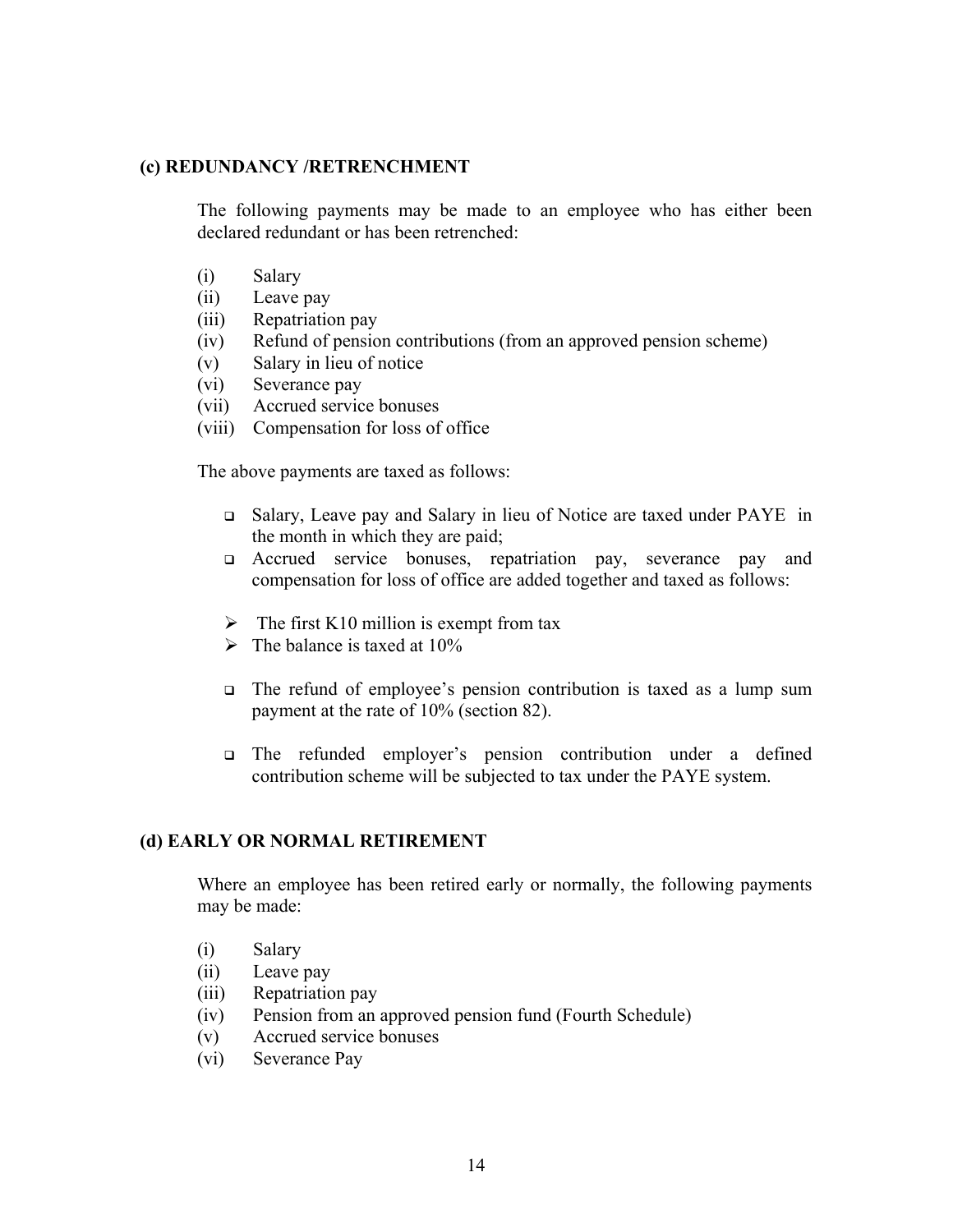#### **(c) REDUNDANCY /RETRENCHMENT**

The following payments may be made to an employee who has either been declared redundant or has been retrenched:

- (i) Salary
- (ii) Leave pay
- (iii) Repatriation pay
- (iv) Refund of pension contributions (from an approved pension scheme)
- (v) Salary in lieu of notice
- (vi) Severance pay
- (vii) Accrued service bonuses
- (viii) Compensation for loss of office

The above payments are taxed as follows:

- Salary, Leave pay and Salary in lieu of Notice are taxed under PAYE in the month in which they are paid;
- Accrued service bonuses, repatriation pay, severance pay and compensation for loss of office are added together and taxed as follows:
- $\triangleright$  The first K10 million is exempt from tax
- $\triangleright$  The balance is taxed at 10%
- The refund of employee's pension contribution is taxed as a lump sum payment at the rate of 10% (section 82).
- The refunded employer's pension contribution under a defined contribution scheme will be subjected to tax under the PAYE system.

#### **(d) EARLY OR NORMAL RETIREMENT**

Where an employee has been retired early or normally, the following payments may be made:

- (i) Salary
- (ii) Leave pay
- (iii) Repatriation pay
- (iv) Pension from an approved pension fund (Fourth Schedule)
- (v) Accrued service bonuses
- (vi) Severance Pay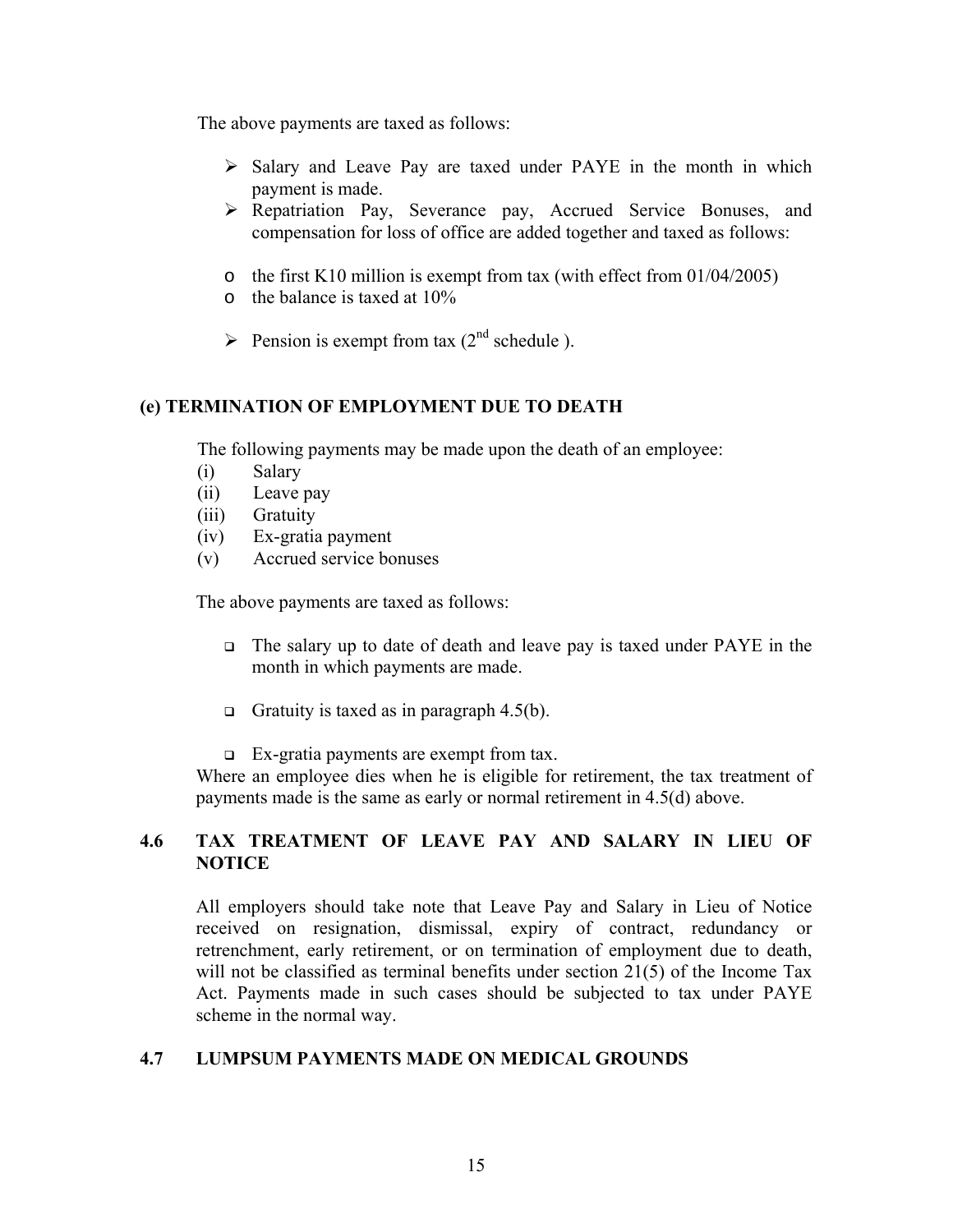The above payments are taxed as follows:

- $\triangleright$  Salary and Leave Pay are taxed under PAYE in the month in which payment is made.
- ¾ Repatriation Pay, Severance pay, Accrued Service Bonuses, and compensation for loss of office are added together and taxed as follows:
- o the first K10 million is exempt from tax (with effect from  $01/04/2005$ )
- o the balance is taxed at 10%
- $\triangleright$  Pension is exempt from tax (2<sup>nd</sup> schedule).

#### **(e) TERMINATION OF EMPLOYMENT DUE TO DEATH**

The following payments may be made upon the death of an employee:

- (i) Salary
- (ii) Leave pay
- (iii) Gratuity
- (iv) Ex-gratia payment
- (v) Accrued service bonuses

The above payments are taxed as follows:

- The salary up to date of death and leave pay is taxed under PAYE in the month in which payments are made.
- Gratuity is taxed as in paragraph 4.5(b).
- Ex-gratia payments are exempt from tax.

Where an employee dies when he is eligible for retirement, the tax treatment of payments made is the same as early or normal retirement in 4.5(d) above.

## **4.6 TAX TREATMENT OF LEAVE PAY AND SALARY IN LIEU OF NOTICE**

All employers should take note that Leave Pay and Salary in Lieu of Notice received on resignation, dismissal, expiry of contract, redundancy or retrenchment, early retirement, or on termination of employment due to death, will not be classified as terminal benefits under section 21(5) of the Income Tax Act. Payments made in such cases should be subjected to tax under PAYE scheme in the normal way.

#### **4.7 LUMPSUM PAYMENTS MADE ON MEDICAL GROUNDS**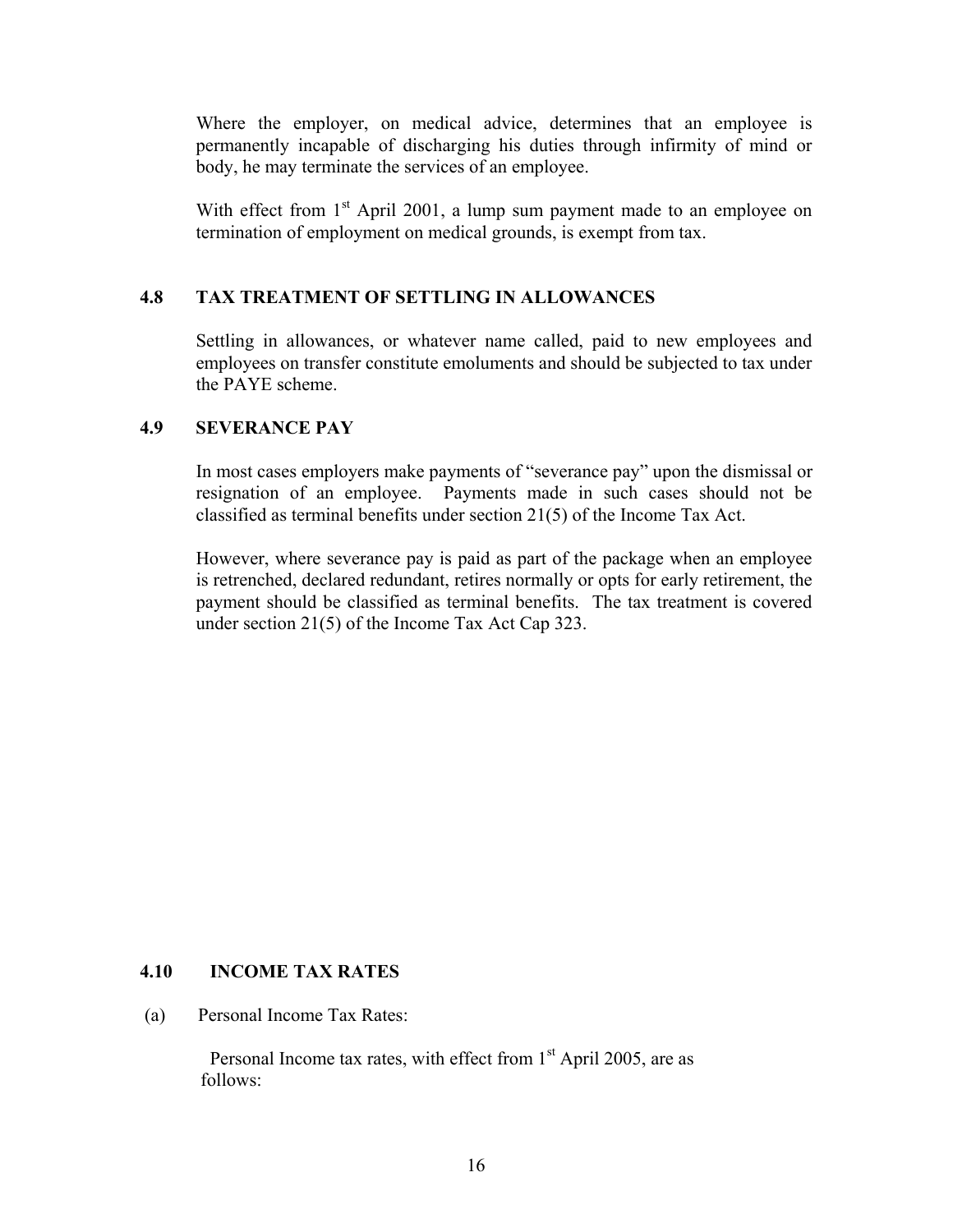Where the employer, on medical advice, determines that an employee is permanently incapable of discharging his duties through infirmity of mind or body, he may terminate the services of an employee.

With effect from  $1<sup>st</sup>$  April 2001, a lump sum payment made to an employee on termination of employment on medical grounds, is exempt from tax.

### **4.8 TAX TREATMENT OF SETTLING IN ALLOWANCES**

Settling in allowances, or whatever name called, paid to new employees and employees on transfer constitute emoluments and should be subjected to tax under the PAYE scheme.

### **4.9 SEVERANCE PAY**

In most cases employers make payments of "severance pay" upon the dismissal or resignation of an employee. Payments made in such cases should not be classified as terminal benefits under section 21(5) of the Income Tax Act.

However, where severance pay is paid as part of the package when an employee is retrenched, declared redundant, retires normally or opts for early retirement, the payment should be classified as terminal benefits. The tax treatment is covered under section 21(5) of the Income Tax Act Cap 323.

#### **4.10 INCOME TAX RATES**

(a) Personal Income Tax Rates:

Personal Income tax rates, with effect from  $1<sup>st</sup>$  April 2005, are as follows: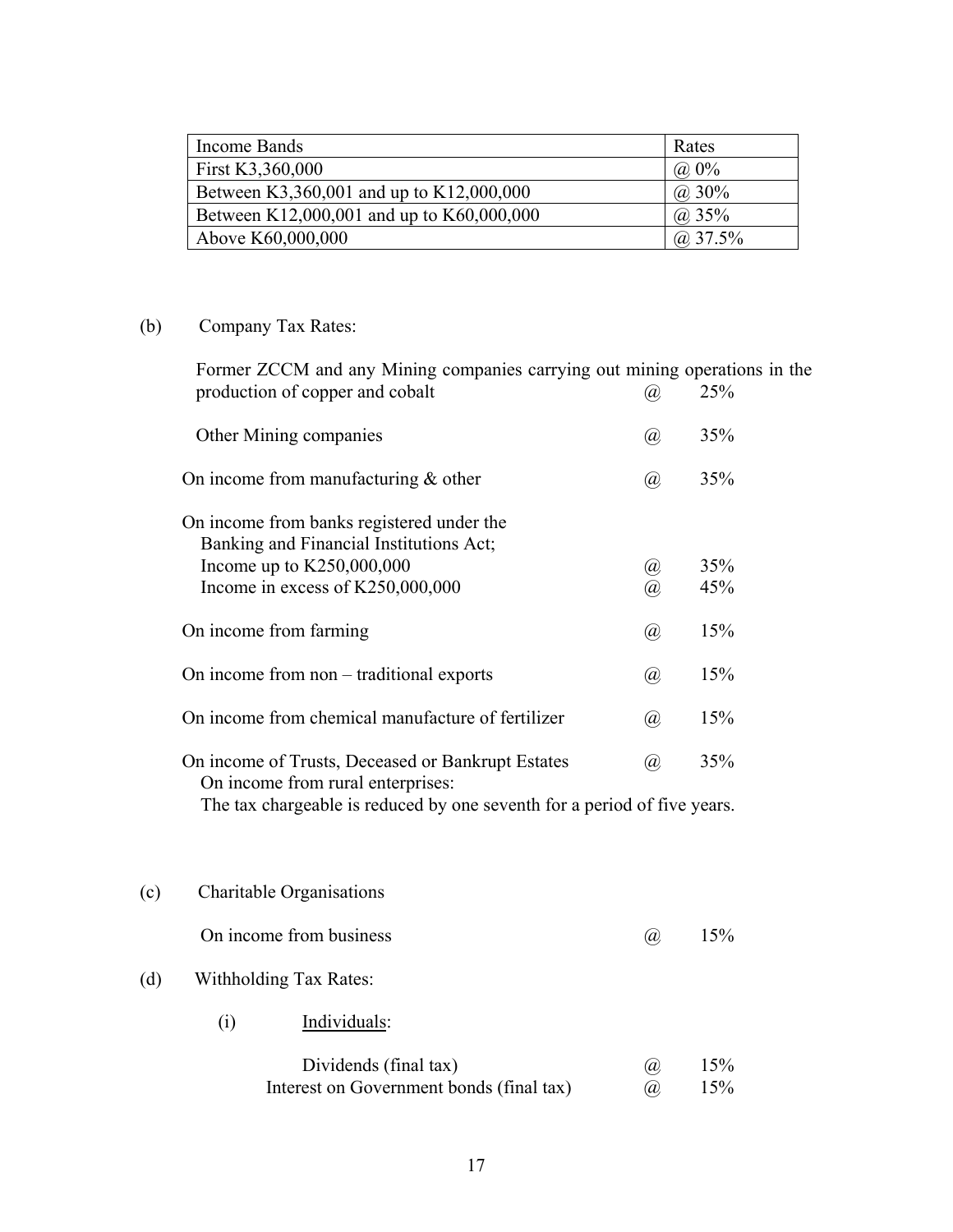| Income Bands                              | Rates       |
|-------------------------------------------|-------------|
| First K3,360,000                          | $(a) 0\%$   |
| Between K3,360,001 and up to K12,000,000  | $(a)$ 30%   |
| Between K12,000,001 and up to K60,000,000 | (a) 35%     |
| Above K60,000,000                         | $(a)$ 37.5% |

## (b) Company Tax Rates:

Former ZCCM and any Mining companies carrying out mining operations in the production of copper and cobalt  $\qquad \qquad (\alpha \qquad 25\%$ Other Mining companies (a) 35%

| On income from manufacturing $\&$ other                                                                                                                   |      | 35%        |
|-----------------------------------------------------------------------------------------------------------------------------------------------------------|------|------------|
| On income from banks registered under the<br>Banking and Financial Institutions Act;<br>Income up to $K250,000,000$<br>Income in excess of $K250,000,000$ | Ø)   | 35%<br>45% |
| On income from farming                                                                                                                                    | (a), | 15%        |
| On income from non – traditional exports                                                                                                                  | (a), | 15%        |
| On income from chemical manufacture of fertilizer                                                                                                         | (a), | 15%        |
| On income of Trusts, Deceased or Bankrupt Estates<br>On income from rural enterprises:                                                                    | (a)  | 35%        |

The tax chargeable is reduced by one seventh for a period of five years.

| (c) |                        | Charitable Organisations                 |     |     |
|-----|------------------------|------------------------------------------|-----|-----|
|     |                        | On income from business                  | (a) | 15% |
| (d) | Withholding Tax Rates: |                                          |     |     |
|     | $\rm(i)$               | Individuals:                             |     |     |
|     |                        | Dividends (final tax)                    | (a) | 15% |
|     |                        | Interest on Government bonds (final tax) | (a) | 15% |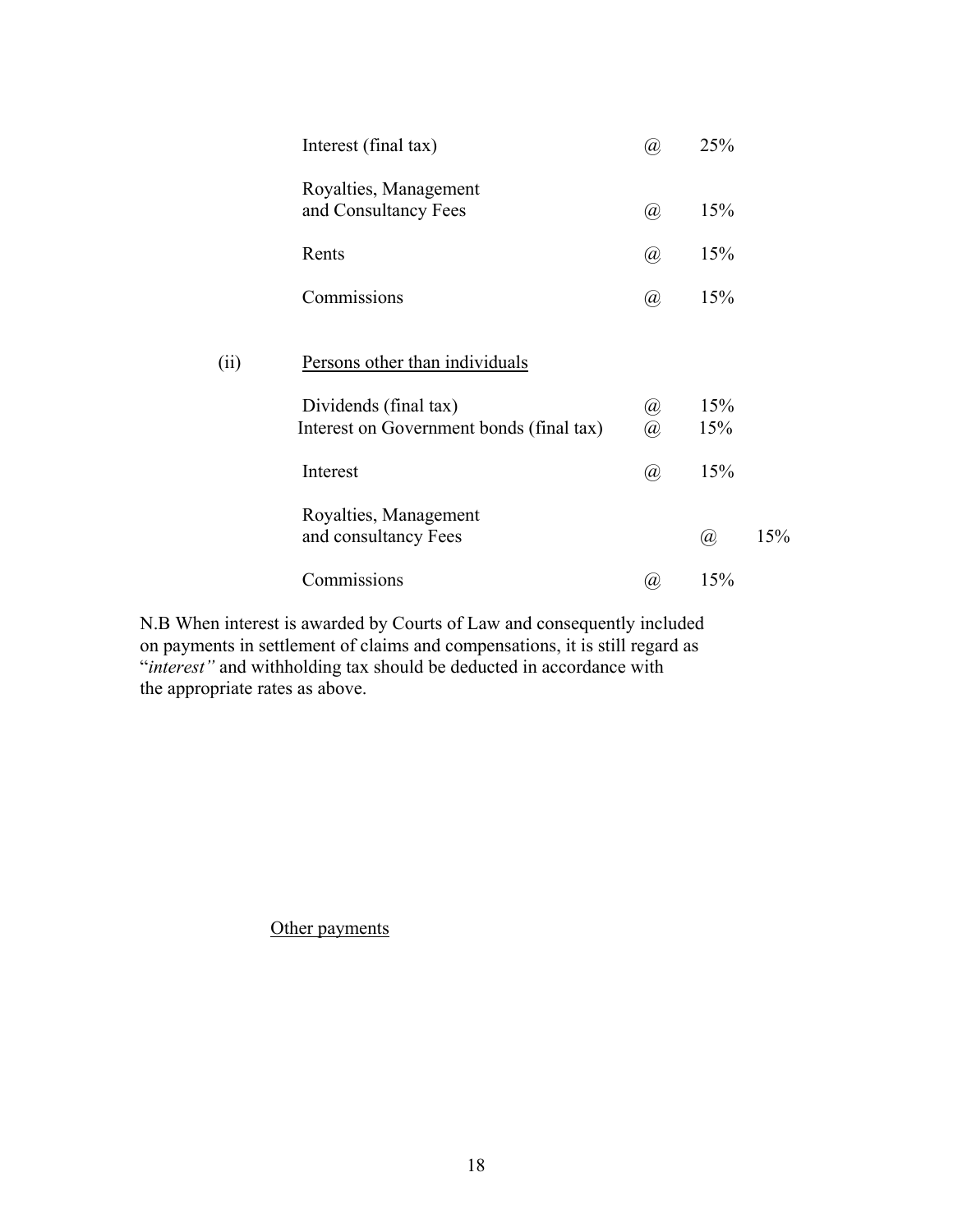|      | Interest (final tax)                                              | 'a),                        | 25%        |     |
|------|-------------------------------------------------------------------|-----------------------------|------------|-----|
|      | Royalties, Management<br>and Consultancy Fees                     | $\left(  a \right)$         | 15%        |     |
|      | Rents                                                             | $^{\hspace{-0.5pt}(\!a\!)}$ | 15%        |     |
|      | Commissions                                                       | $\omega$                    | 15%        |     |
| (ii) | Persons other than individuals                                    |                             |            |     |
|      | Dividends (final tax)<br>Interest on Government bonds (final tax) | $^{\textregistered}$<br>@,  | 15%<br>15% |     |
|      | Interest                                                          | $^{\textregistered}$        | 15%        |     |
|      | Royalties, Management<br>and consultancy Fees                     |                             | @          | 15% |
|      | Commissions                                                       | $\alpha$                    | 15%        |     |

N.B When interest is awarded by Courts of Law and consequently included on payments in settlement of claims and compensations, it is still regard as "*interest"* and withholding tax should be deducted in accordance with the appropriate rates as above.

Other payments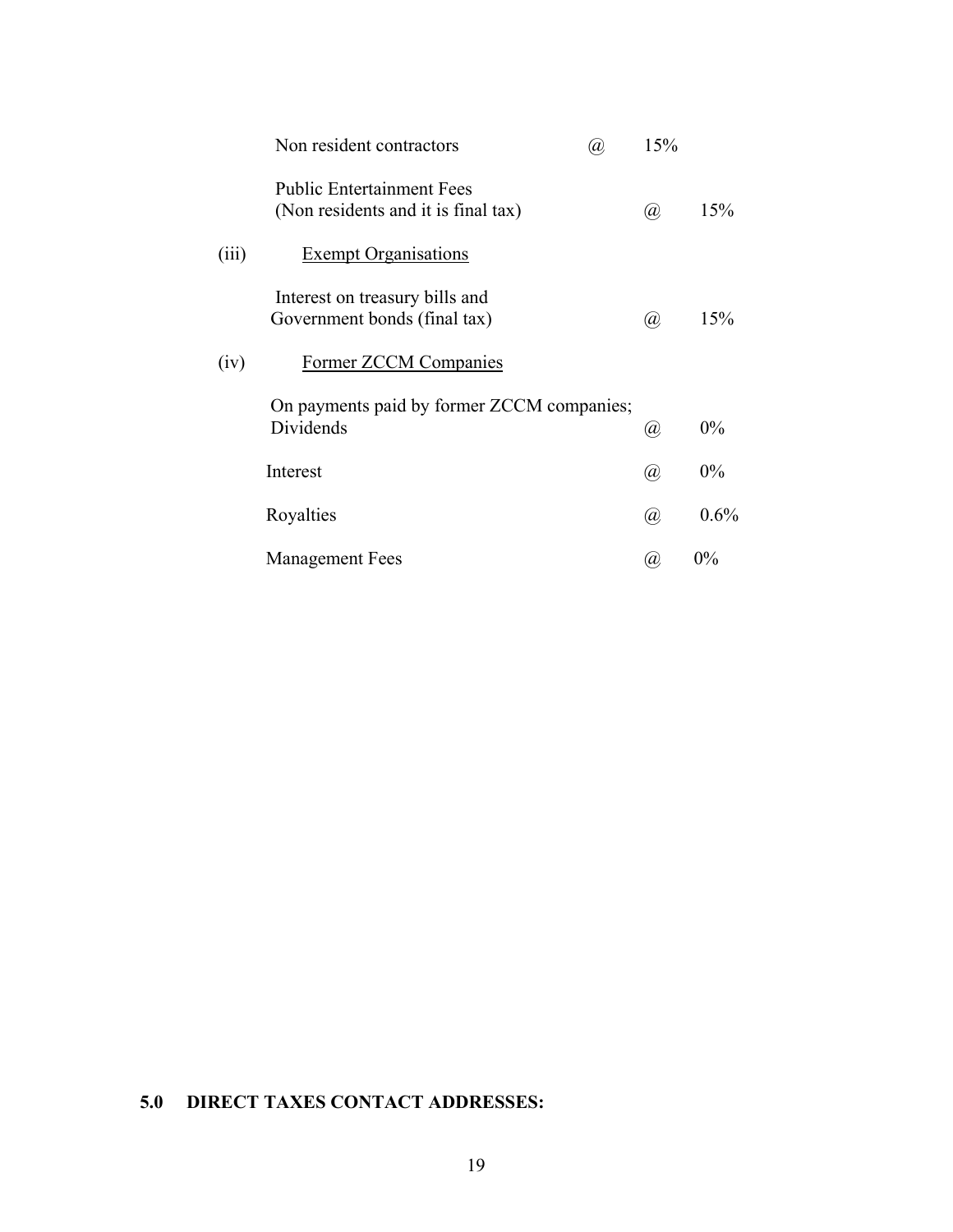|                        | Non resident contractors                                                | @, | 15%                         |         |
|------------------------|-------------------------------------------------------------------------|----|-----------------------------|---------|
|                        | <b>Public Entertainment Fees</b><br>(Non residents and it is final tax) |    | @,                          | 15%     |
| (iii)                  | <b>Exempt Organisations</b>                                             |    |                             |         |
|                        | Interest on treasury bills and<br>Government bonds (final tax)          |    | $\left(\overline{a}\right)$ | 15%     |
| (iv)                   | <b>Former ZCCM Companies</b>                                            |    |                             |         |
| Dividends              | On payments paid by former ZCCM companies;                              |    | $^{\hspace{-0.1em}(\!a\!)}$ | $0\%$   |
| Interest               |                                                                         |    | $^{\textregistered}$        | $0\%$   |
| Royalties              |                                                                         |    | $\left(  a \right)$         | $0.6\%$ |
| <b>Management Fees</b> |                                                                         |    | Ø)                          | 0%      |

## **5.0 DIRECT TAXES CONTACT ADDRESSES:**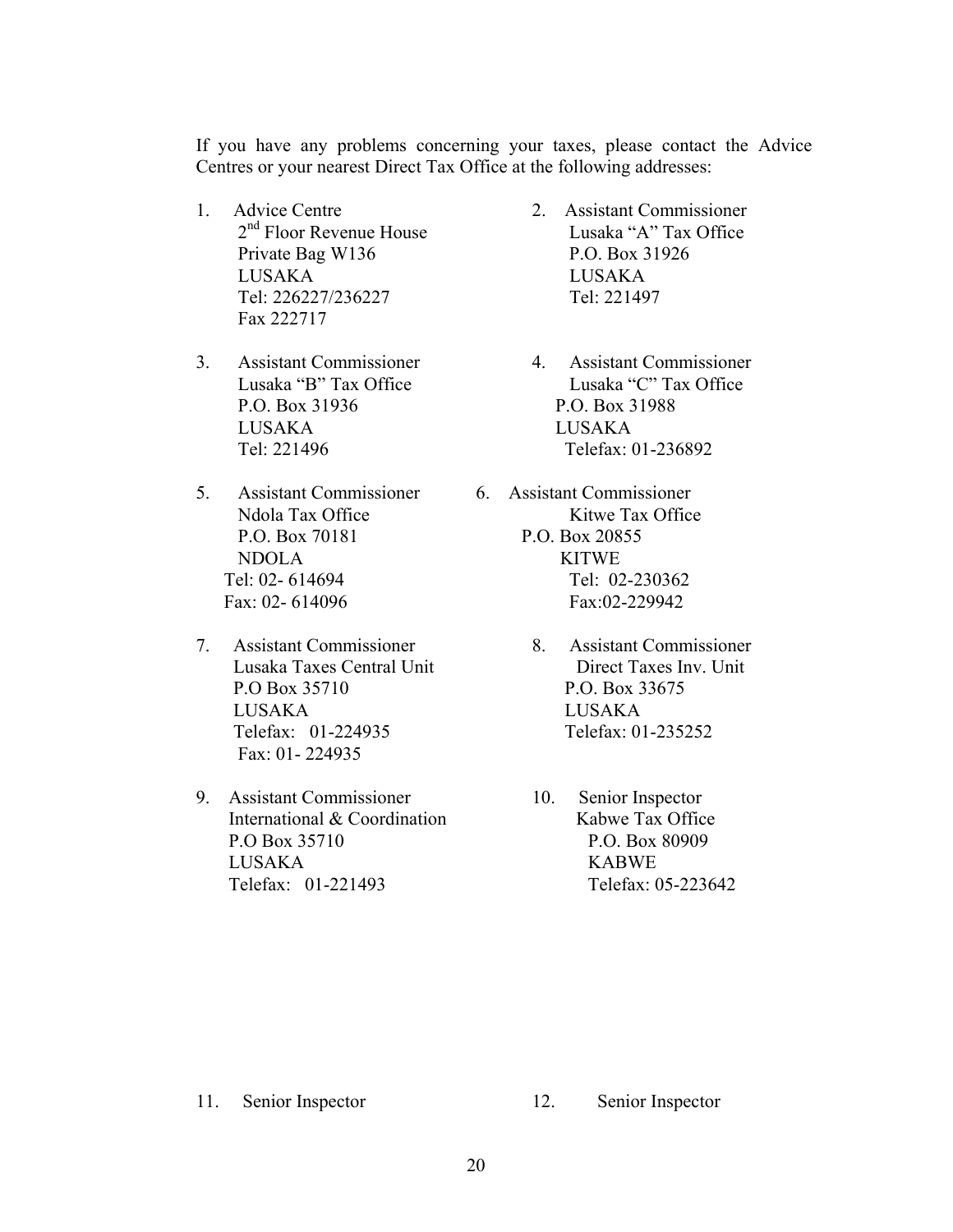If you have any problems concerning your taxes, please contact the Advice Centres or your nearest Direct Tax Office at the following addresses:

- 1. Advice Centre 2. Assistant Commissioner Private Bag W136 P.O. Box 31926 LUSAKA LUSAKA Tel: 226227/236227 Tel: 221497 Fax 222717
- P.O. Box 31936 P.O. Box 31988 LUSAKA LUSAKA
- 5. Assistant Commissioner 6. Assistant Commissioner P.O. Box 70181 P.O. Box 20855 NDOLA KITWE
- 7. Assistant Commissioner 8. Assistant Commissioner P.O Box 35710 P.O. Box 33675 LUSAKA LUSAKA Telefax: 01-224935 Telefax: 01-235252 Fax: 01- 224935
- 9. Assistant Commissioner 10. Senior Inspector International & Coordination Kabwe Tax Office P.O Box 35710 P.O. Box 80909 LUSAKA KABWE Telefax: 01-221493 Telefax: 05-223642
- 2<sup>nd</sup> Floor Revenue House Lusaka "A" Tax Office
- 3. Assistant Commissioner 4. Assistant Commissioner Lusaka "B" Tax Office Lusaka "C" Tax Office Tel: 221496 Telefax: 01-236892
	- Ndola Tax Office Kitwe Tax Office Tel: 02- 614694 Tel: 02-230362 Fax: 02- 614096 Fax: 02-229942
	- Lusaka Taxes Central Unit Direct Taxes Inv. Unit
		-

- 
- 11. Senior Inspector 12. Senior Inspector